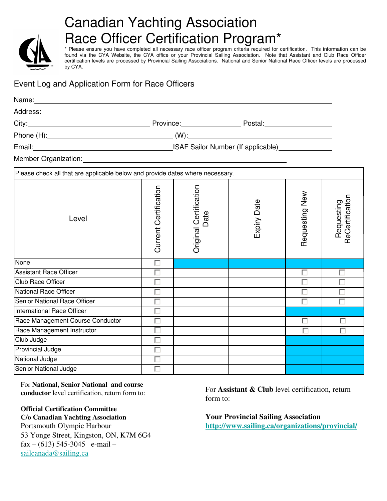

# Canadian Yachting Association Race Officer Certification Program\*

\* Please ensure you have completed all necessary race officer program criteria required for certification. This information can be found via the CYA Website, the CYA office or your Provincial Sailing Association. Note that Assistant and Club Race Officer certification levels are processed by Provincial Sailing Associations. National and Senior National Race Officer levels are processed by CYA.

## Event Log and Application Form for Race Officers

| Address: National Address: National Address: National Address: National Address: National Address: N |                                                                                                                                                                                                                               |                                |             |                |                               |
|------------------------------------------------------------------------------------------------------|-------------------------------------------------------------------------------------------------------------------------------------------------------------------------------------------------------------------------------|--------------------------------|-------------|----------------|-------------------------------|
|                                                                                                      | City: City: City: City: City: City: City: City: City: City: City: City: City: City: City: City: City: City: City: City: City: City: City: City: City: City: City: City: City: City: City: City: City: City: City: City: City: |                                |             |                |                               |
|                                                                                                      |                                                                                                                                                                                                                               |                                |             |                |                               |
| Email: Communication of the USAF Sailor Number (If applicable)                                       |                                                                                                                                                                                                                               |                                |             |                |                               |
| Member Organization: Member Organization:                                                            |                                                                                                                                                                                                                               |                                |             |                |                               |
| Please check all that are applicable below and provide dates where necessary.                        |                                                                                                                                                                                                                               |                                |             |                |                               |
| Level                                                                                                | Current Certification                                                                                                                                                                                                         | Original Certification<br>Date | Expiry Date | Requesting New | ReCertification<br>Requesting |
| None                                                                                                 | $\overline{\Box}$                                                                                                                                                                                                             |                                |             |                |                               |
| <b>Assistant Race Officer</b>                                                                        |                                                                                                                                                                                                                               |                                |             | г              | г                             |
| <b>Club Race Officer</b>                                                                             |                                                                                                                                                                                                                               |                                |             |                |                               |
| <b>National Race Officer</b>                                                                         |                                                                                                                                                                                                                               |                                |             |                |                               |
| Senior National Race Officer                                                                         |                                                                                                                                                                                                                               |                                |             |                | П                             |
| International Race Officer                                                                           | п                                                                                                                                                                                                                             |                                |             |                |                               |
| Race Management Course Conductor                                                                     |                                                                                                                                                                                                                               |                                |             | П              |                               |
| Race Management Instructor                                                                           |                                                                                                                                                                                                                               |                                |             |                |                               |
| Club Judge                                                                                           |                                                                                                                                                                                                                               |                                |             |                |                               |
| Provincial Judge                                                                                     |                                                                                                                                                                                                                               |                                |             |                |                               |
| National Judge                                                                                       | П                                                                                                                                                                                                                             |                                |             |                |                               |
| Senior National Judge                                                                                |                                                                                                                                                                                                                               |                                |             |                |                               |

For **National, Senior National and course conductor** level certification, return form to:

## **Official Certification Committee**

**C/o Canadian Yachting Association** Portsmouth Olympic Harbour 53 Yonge Street, Kingston, ON, K7M 6G4 fax – (613) 545-3045 e-mail – sailcanada@sailing.ca

For **Assistant & Club** level certification, return form to:

**Your Provincial Sailing Association http://www.sailing.ca/organizations/provincial/**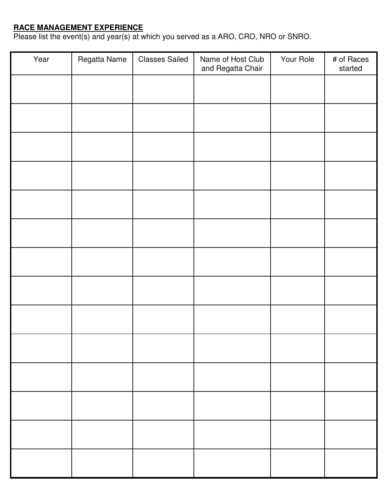#### **RACE MANAGEMENT EXPERIENCE**

Please list the event(s) and year(s) at which you served as a ARO, CRO, NRO or SNRO.

| Year | Regatta Name | <b>Classes Sailed</b> | Name of Host Club<br>and Regatta Chair | Your Role | # of Races<br>started |
|------|--------------|-----------------------|----------------------------------------|-----------|-----------------------|
|      |              |                       |                                        |           |                       |
|      |              |                       |                                        |           |                       |
|      |              |                       |                                        |           |                       |
|      |              |                       |                                        |           |                       |
|      |              |                       |                                        |           |                       |
|      |              |                       |                                        |           |                       |
|      |              |                       |                                        |           |                       |
|      |              |                       |                                        |           |                       |
|      |              |                       |                                        |           |                       |
|      |              |                       |                                        |           |                       |
|      |              |                       |                                        |           |                       |
|      |              |                       |                                        |           |                       |
|      |              |                       |                                        |           |                       |
|      |              |                       |                                        |           |                       |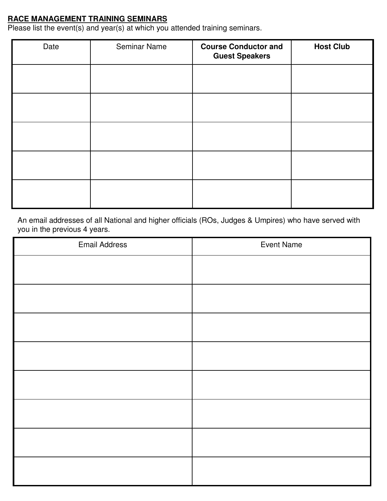#### **RACE MANAGEMENT TRAINING SEMINARS**

Please list the event(s) and year(s) at which you attended training seminars.

| Date | <b>Seminar Name</b> | <b>Course Conductor and</b><br><b>Guest Speakers</b> | <b>Host Club</b> |
|------|---------------------|------------------------------------------------------|------------------|
|      |                     |                                                      |                  |
|      |                     |                                                      |                  |
|      |                     |                                                      |                  |
|      |                     |                                                      |                  |
|      |                     |                                                      |                  |

An email addresses of all National and higher officials (ROs, Judges & Umpires) who have served with you in the previous 4 years.

| <b>Email Address</b> | <b>Event Name</b> |
|----------------------|-------------------|
|                      |                   |
|                      |                   |
|                      |                   |
|                      |                   |
|                      |                   |
|                      |                   |
|                      |                   |
|                      |                   |
|                      |                   |
|                      |                   |
|                      |                   |